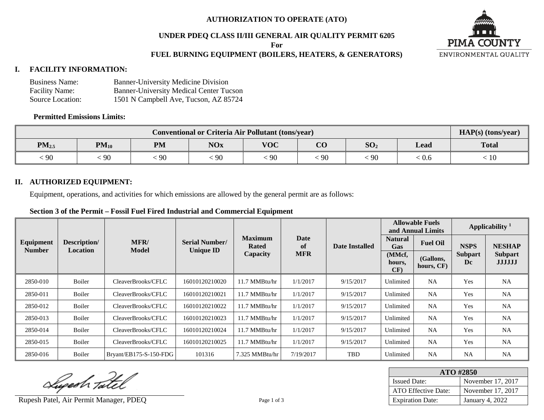#### **AUTHORIZATION TO OPERATE (ATO)**

# **UNDER PDEQ CLASS II/III GENERAL AIR QUALITY PERMIT 6205**

**For**

## **FUEL BURNING EQUIPMENT (BOILERS, HEATERS, & GENERATORS)**

#### **I. FACILITY INFORMATION:**

| <b>Business Name:</b> | <b>Banner-University Medicine Division</b>     |
|-----------------------|------------------------------------------------|
| <b>Facility Name:</b> | <b>Banner-University Medical Center Tucson</b> |
| Source Location:      | 1501 N Campbell Ave, Tucson, AZ 85724          |

#### **Permitted Emissions Limits:**

|            | HAP(s) (tons/year) |           |            |            |                               |                 |       |              |
|------------|--------------------|-----------|------------|------------|-------------------------------|-----------------|-------|--------------|
| $PM_{2.5}$ | $PM_{10}$          | <b>PM</b> | <b>NOx</b> | <b>VOC</b> | $\overline{\text{C}}\text{O}$ | SO <sub>2</sub> | Lead  | <b>Total</b> |
| 90         | 90                 | : 90      | 90         | 90         | -90                           | ' YU            | : 0.6 | 10           |

#### **II. AUTHORIZED EQUIPMENT:**

Equipment, operations, and activities for which emissions are allowed by the general permit are as follows:

#### **Section 3 of the Permit – Fossil Fuel Fired Industrial and Commercial Equipment**

|                            |                          |                          |                                              |                                |            |                       | <b>Allowable Fuels</b><br>and Annual Limits |                         | Applicability $1$    |                                 |
|----------------------------|--------------------------|--------------------------|----------------------------------------------|--------------------------------|------------|-----------------------|---------------------------------------------|-------------------------|----------------------|---------------------------------|
| Equipment<br><b>Number</b> | Description/<br>Location | MFR/                     | <b>Serial Number/</b>                        | <b>Maximum</b><br><b>Rated</b> | Date<br>of | <b>Date Installed</b> | <b>Natural</b><br><b>Gas</b>                | <b>Fuel Oil</b>         | <b>NSPS</b>          | <b>NESHAP</b>                   |
|                            |                          |                          | <b>Model</b><br><b>Unique ID</b><br>Capacity |                                | <b>MFR</b> |                       | (MMcf,<br>hours,<br>CF)                     | (Gallons,<br>hours, CF) | <b>Subpart</b><br>Dc | <b>Subpart</b><br><b>JJJJJJ</b> |
| 2850-010                   | Boiler                   | CleaverBrooks/CFLC       | 16010120210020                               | 11.7 MMBtu/hr                  | 1/1/2017   | 9/15/2017             | Unlimited                                   | <b>NA</b>               | Yes                  | <b>NA</b>                       |
| 2850-011                   | Boiler                   | CleaverBrooks/CFLC       | 16010120210021                               | 11.7 MMBtu/hr                  | 1/1/2017   | 9/15/2017             | Unlimited                                   | <b>NA</b>               | Yes                  | <b>NA</b>                       |
| 2850-012                   | Boiler                   | CleaverBrooks/CFLC       | 16010120210022                               | 11.7 MMBtu/hr                  | 1/1/2017   | 9/15/2017             | Unlimited                                   | <b>NA</b>               | Yes                  | <b>NA</b>                       |
| 2850-013                   | <b>Boiler</b>            | CleaverBrooks/CFLC       | 16010120210023                               | 11.7 MMBtu/hr                  | 1/1/2017   | 9/15/2017             | Unlimited                                   | <b>NA</b>               | Yes                  | <b>NA</b>                       |
| 2850-014                   | Boiler                   | CleaverBrooks/CFLC       | 16010120210024                               | 11.7 MMBtu/hr                  | 1/1/2017   | 9/15/2017             | Unlimited                                   | NA                      | Yes                  | <b>NA</b>                       |
| 2850-015                   | Boiler                   | CleaverBrooks/CFLC       | 16010120210025                               | 11.7 MMBtu/hr                  | 1/1/2017   | 9/15/2017             | Unlimited                                   | NA                      | Yes                  | <b>NA</b>                       |
| 2850-016                   | Boiler                   | $Bryant/EB175-S-150-FDG$ | 101316                                       | 7.325 MMBtu/hr                 | 7/19/2017  | TBD                   | Unlimited                                   | NA                      | <b>NA</b>            | <b>NA</b>                       |

Superh Tatel

 $\overline{a}$ Rupesh Patel, Air Permit Manager, PDEQ Page 1 of 3 Page 1 of 3 Expiration Date: January 4, 2022

| ATO #2850               |                   |  |  |  |  |  |
|-------------------------|-------------------|--|--|--|--|--|
| <b>Issued Date:</b>     | November 17, 2017 |  |  |  |  |  |
| ATO Effective Date:     | November 17, 2017 |  |  |  |  |  |
| <b>Expiration Date:</b> | January 4, 2022   |  |  |  |  |  |

**PIMA COUNTY** ENVIRONMENTAL QUALITY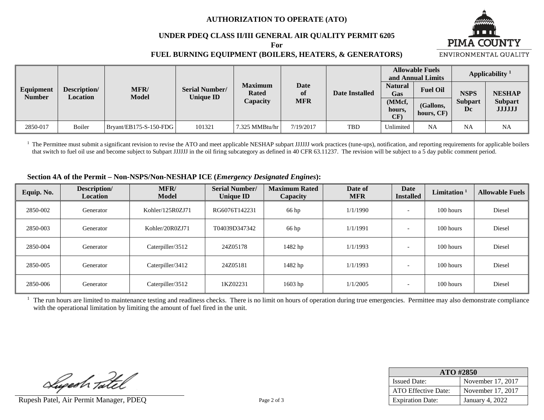#### **AUTHORIZATION TO OPERATE (ATO)**

#### **UNDER PDEQ CLASS II/III GENERAL AIR QUALITY PERMIT 6205**

**For**

# **PIMA COUNTY**

ENVIRONMENTAL QUALITY

#### **FUEL BURNING EQUIPMENT (BOILERS, HEATERS, & GENERATORS)**

**Equipment Number Description/ Location MFR/ Model Serial Number/ Unique ID Maximum Rated Capacity Date of MFR Date Installed Allowable Fuels And Annual Limits Applicability** <sup>1</sup> **Natural Gas Fuel Oil NSPS Subpart Dc NESHAP Subpart JJJJJJ (MMcf, hours, CF) (Gallons, hours, CF)** 2850-017 | Boiler | Bryant/EB175-S-150-FDG | 101321 | 7.325 MMBtu/hr | 7/19/2017 | TBD | Unlimited NA | NA NA

 $<sup>1</sup>$  The Permittee must submit a significant revision to revise the ATO and meet applicable NESHAP subpart JJJJJJ work practices (tune-ups), notification, and reporting requirements for applicable boilers</sup> that switch to fuel oil use and become subject to Subpart JJJJJJ in the oil firing subcategory as defined in 40 CFR 63.11237. The revision will be subject to a 5 day public comment period.

#### **Section 4A of the Permit – Non-NSPS/Non-NESHAP ICE (***Emergency Designated Engines***):**

| Equip. No. | Description/<br><b>Location</b> | MFR/<br><b>Model</b> | <b>Serial Number/</b><br><b>Unique ID</b> | <b>Maximum Rated</b><br>Capacity | Date of<br><b>MFR</b> | Date<br><b>Installed</b> | Limitation <sup>1</sup> | <b>Allowable Fuels</b> |
|------------|---------------------------------|----------------------|-------------------------------------------|----------------------------------|-----------------------|--------------------------|-------------------------|------------------------|
| 2850-002   | Generator                       | Kohler/125R0ZJ71     | RG6076T142231                             | 66 hp                            | 1/1/1990              |                          | 100 hours               | Diesel                 |
| 2850-003   | Generator                       | Kohler/20R0ZJ71      | T04039D347342                             | 66 hp                            | 1/1/1991              |                          | 100 hours               | Diesel                 |
| 2850-004   | Generator                       | Caterpiller/3512     | 24Z05178                                  | 1482 hp                          | 1/1/1993              |                          | 100 hours               | Diesel                 |
| 2850-005   | Generator                       | Caterpiller/3412     | 24Z05181                                  | 1482 hp                          | 1/1/1993              | $\overline{\phantom{0}}$ | 100 hours               | Diesel                 |
| 2850-006   | Generator                       | Caterpiller/3512     | 1KZ02231                                  | 1603 hp                          | 1/1/2005              |                          | 100 hours               | Diesel                 |

<sup>1</sup> The run hours are limited to maintenance testing and readiness checks. There is no limit on hours of operation during true emergencies. Permittee may also demonstrate compliance with the operational limitation by limiting the amount of fuel fired in the unit.

Superh Tatel

 $\overline{a}$ Rupesh Patel, Air Permit Manager, PDEQ Page 2 of 3 Page 2 of 3 Expiration Date: January 4, 2022

| ATO #2850               |                   |  |  |  |  |
|-------------------------|-------------------|--|--|--|--|
| <b>Issued Date:</b>     | November 17, 2017 |  |  |  |  |
| ATO Effective Date:     | November 17, 2017 |  |  |  |  |
| <b>Expiration Date:</b> | January 4, 2022   |  |  |  |  |